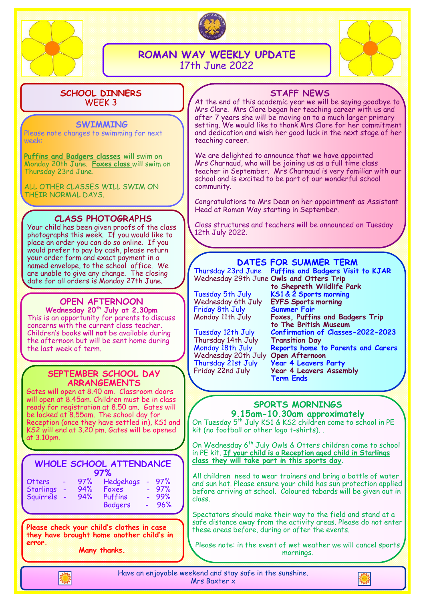



**ROMAN WAY WEEKLY UPDATE** 17th June 2022



#### **SCHOOL DINNERS** WEEK 3

#### **SWIMMING**

Please note changes to swimming for next week:

**Puffins and Badgers classes** will swim on Monday 20th June. **Foxes class** will swim on Thursday 23rd June.

ALL OTHER CLASSES WILL SWIM ON THEIR NORMAL DAYS.

## **CLASS PHOTOGRAPHS**

Your child has been given proofs of the class photographs this week. If you would like to place an order you can do so online. If you would prefer to pay by cash, please return your order form and exact payment in a named envelope, to the school office. We are unable to give any change. The closing date for all orders is Monday 27th June.

## **OPEN AFTERNOON**

**Wednesday 20th July at 2.30pm** This is an opportunity for parents to discuss concerns with the current class teacher. Children's books **will not** be available during the afternoon but will be sent home during the last week of term.

### **SEPTEMBER SCHOOL DAY ARRANGEMENTS**

Gates will open at 8.40 am. Classroom doors will open at 8.45am. Children must be in class ready for registration at 8.50 am. Gates will be locked at 8.55am. The school day for Reception (once they have settled in), KS1 and KS2 will end at 3.20 pm. Gates will be opened at 3.10pm.

| <b>WHOLE SCHOOL ATTENDANCE</b><br>97% |  |     |                |  |     |
|---------------------------------------|--|-----|----------------|--|-----|
| <b>Otters</b>                         |  | 97% | Hedgehogs      |  | 97% |
| <b>Starlings</b>                      |  | 94% | Foxes          |  | 97% |
| Squirrels                             |  | 94% | Puffins        |  | 99% |
|                                       |  |     | <b>Badgers</b> |  | 96% |

**Please check your child's clothes in case they have brought home another child's in error.**

**Many thanks.**

## **STAFF NEWS**

At the end of this academic year we will be saying goodbye to Mrs Clare. Mrs Clare began her teaching career with us and after 7 years she will be moving on to a much larger primary setting. We would like to thank Mrs Clare for her commitment and dedication and wish her good luck in the next stage of her teaching career.

We are delighted to announce that we have appointed Mrs Charnaud, who will be joining us as a full time class teacher in September. Mrs Charnaud is very familiar with our school and is excited to be part of our wonderful school community.

Congratulations to Mrs Dean on her appointment as Assistant Head at Roman Way starting in September.

Class structures and teachers will be announced on Tuesday 12th July 2022.

## **DATES FOR SUMMER TERM**

Thursday 23rd June **Puffins and Badgers Visit to KJAR** Wednesday 29th June **Owls and Otters Trip** 

Friday 8th July **Summer Fair**

Thursday 14th July Wednesday 20th July<br>Thursday 21st July

**to Shepreth Wildlife Park**  Tuesday 5th July **KS1 & 2 Sports morning** Wednesday 6th July **EYFS Sports morning** Foxes, Puffins and Badgers Trip **to The British Museum** Tuesday 12th July **Confirmation of Classes-2022-2023** Monday 18th July **Reports home to Parents and Carers** Thursday 21st July **Year 4 Leavers Party Year 4 Leavers Assembly Term Ends**

#### **SPORTS MORNINGS 9.15am-10.30am approximately**

On Tuesday 5<sup>th</sup> July KS1 & KS2 children come to school in PE kit (no football or other logo t-shirts). .

On Wednesday 6<sup>th</sup> July Owls & Otters children come to school in PE kit. **If your child is a Reception aged child in Starlings class they will take part in this sports day**.

All children need to wear trainers and bring a bottle of water and sun hat. Please ensure your child has sun protection applied before arriving at school. Coloured tabards will be given out in class.

Spectators should make their way to the field and stand at a safe distance away from the activity areas. Please do not enter these areas before, during or after the events.

Please note: in the event of wet weather we will cancel sports mornings.



Have an enjoyable weekend and stay safe in the sunshine. Mrs Baxter x